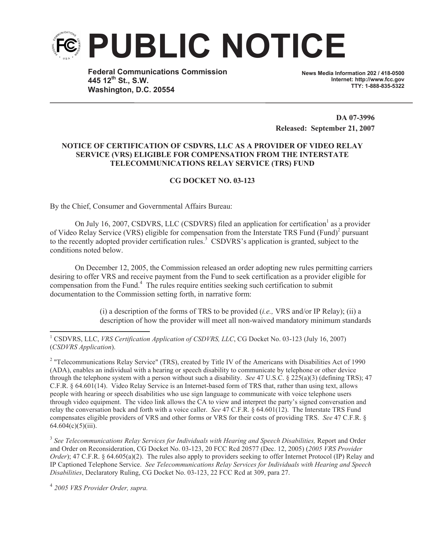

**Federal Communications Commission 445 12th St., S.W. Washington, D.C. 20554**

**News Media Information 202 / 418-0500 Internet: http://www.fcc.gov TTY: 1-888-835-5322**

**DA 07-3996 Released: September 21, 2007**

## **NOTICE OF CERTIFICATION OF CSDVRS, LLC AS A PROVIDER OF VIDEO RELAY SERVICE (VRS) ELIGIBLE FOR COMPENSATION FROM THE INTERSTATE TELECOMMUNICATIONS RELAY SERVICE (TRS) FUND**

## **CG DOCKET NO. 03-123**

By the Chief, Consumer and Governmental Affairs Bureau:

On July 16, 2007, CSDVRS, LLC (CSDVRS) filed an application for certification<sup>1</sup> as a provider of Video Relay Service (VRS) eligible for compensation from the Interstate TRS Fund (Fund)<sup>2</sup> pursuant to the recently adopted provider certification rules. <sup>3</sup> CSDVRS's application is granted, subject to the conditions noted below.

On December 12, 2005, the Commission released an order adopting new rules permitting carriers desiring to offer VRS and receive payment from the Fund to seek certification as a provider eligible for compensation from the Fund. <sup>4</sup> The rules require entities seeking such certification to submit documentation to the Commission setting forth, in narrative form:

> (i) a description of the forms of TRS to be provided (*i.e.,* VRS and/or IP Relay); (ii) a description of how the provider will meet all non-waived mandatory minimum standards

<sup>1</sup> CSDVRS, LLC, *VRS Certification Application of CSDVRS, LLC*, CG Docket No. 03-123 (July 16, 2007) (*CSDVRS Application*).

<sup>2</sup> "Telecommunications Relay Service" (TRS), created by Title IV of the Americans with Disabilities Act of 1990 (ADA), enables an individual with a hearing or speech disability to communicate by telephone or other device through the telephone system with a person without such a disability. *See* 47 U.S.C. § 225(a)(3) (defining TRS); 47 C.F.R. § 64.601(14). Video Relay Service is an Internet-based form of TRS that, rather than using text, allows people with hearing or speech disabilities who use sign language to communicate with voice telephone users through video equipment. The video link allows the CA to view and interpret the party's signed conversation and relay the conversation back and forth with a voice caller. *See* 47 C.F.R. § 64.601(12). The Interstate TRS Fund compensates eligible providers of VRS and other forms or VRS for their costs of providing TRS. *See* 47 C.F.R. §  $64.604(c)(5)(iii)$ .

<sup>3</sup> See Telecommunications Relay Services for Individuals with Hearing and Speech Disabilities, Report and Order and Order on Reconsideration, CG Docket No. 03-123, 20 FCC Rcd 20577 (Dec. 12, 2005) (*2005 VRS Provider Order*); 47 C.F.R. § 64.605(a)(2). The rules also apply to providers seeking to offer Internet Protocol (IP) Relay and IP Captioned Telephone Service. *See Telecommunications Relay Services for Individuals with Hearing and Speech Disabilities*, Declaratory Ruling, CG Docket No. 03-123, 22 FCC Rcd at 309, para 27.

4 *2005 VRS Provider Order, supra.*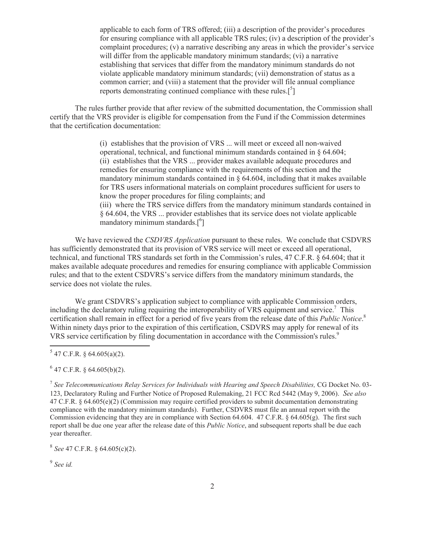applicable to each form of TRS offered; (iii) a description of the provider's procedures for ensuring compliance with all applicable TRS rules; (iv) a description of the provider's complaint procedures; (v) a narrative describing any areas in which the provider's service will differ from the applicable mandatory minimum standards; (vi) a narrative establishing that services that differ from the mandatory minimum standards do not violate applicable mandatory minimum standards; (vii) demonstration of status as a common carrier; and (viii) a statement that the provider will file annual compliance reports demonstrating continued compliance with these rules.<sup>[5</sup>]

The rules further provide that after review of the submitted documentation, the Commission shall certify that the VRS provider is eligible for compensation from the Fund if the Commission determines that the certification documentation:

> (i) establishes that the provision of VRS ... will meet or exceed all non-waived operational, technical, and functional minimum standards contained in  $\S$  64.604; (ii) establishes that the VRS ... provider makes available adequate procedures and remedies for ensuring compliance with the requirements of this section and the mandatory minimum standards contained in  $\S$  64.604, including that it makes available for TRS users informational materials on complaint procedures sufficient for users to know the proper procedures for filing complaints; and (iii) where the TRS service differs from the mandatory minimum standards contained in § 64.604, the VRS ... provider establishes that its service does not violate applicable mandatory minimum standards.<sup>[6</sup>]

We have reviewed the *CSDVRS Application* pursuant to these rules. We conclude that CSDVRS has sufficiently demonstrated that its provision of VRS service will meet or exceed all operational, technical, and functional TRS standards set forth in the Commission's rules, 47 C.F.R. § 64.604; that it makes available adequate procedures and remedies for ensuring compliance with applicable Commission rules; and that to the extent CSDVRS's service differs from the mandatory minimum standards, the service does not violate the rules.

We grant CSDVRS's application subject to compliance with applicable Commission orders, including the declaratory ruling requiring the interoperability of VRS equipment and service.<sup>7</sup> This certification shall remain in effect for a period of five years from the release date of this *Public Notice*. 8 Within ninety days prior to the expiration of this certification, CSDVRS may apply for renewal of its VRS service certification by filing documentation in accordance with the Commission's rules.<sup>9</sup>

 $5$  47 C.F.R. § 64.605(a)(2).

 $6$  47 C.F.R. § 64.605(b)(2).

<sup>7</sup> See Telecommunications Relay Services for Individuals with Hearing and Speech Disabilities, CG Docket No. 03-123, Declaratory Ruling and Further Notice of Proposed Rulemaking, 21 FCC Rcd 5442 (May 9, 2006). *See also* 47 C.F.R. § 64.605(e)(2) (Commission may require certified providers to submit documentation demonstrating compliance with the mandatory minimum standards). Further, CSDVRS must file an annual report with the Commission evidencing that they are in compliance with Section 64.604. 47 C.F.R. § 64.605(g). The first such report shall be due one year after the release date of this *Public Notice*, and subsequent reports shall be due each year thereafter.

8 *See* 47 C.F.R. § 64.605(c)(2).

9 *See id.*